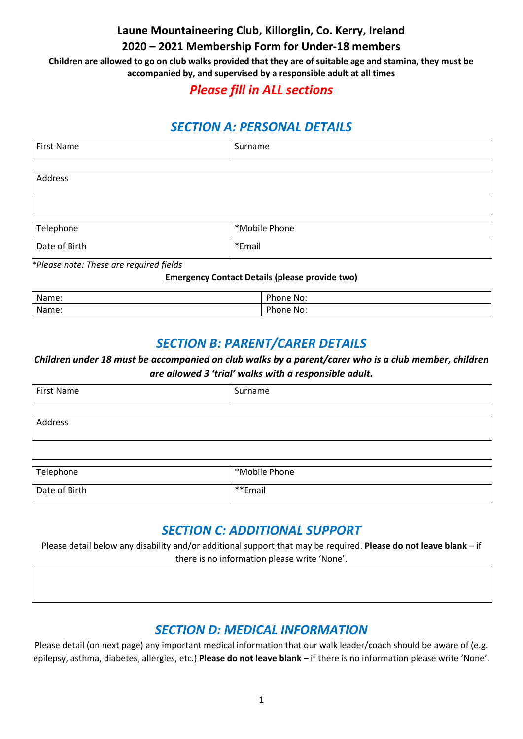**Laune Mountaineering Club, Killorglin, Co. Kerry, Ireland**

#### **2020 – 2021 Membership Form for Under-18 members**

**Children are allowed to go on club walks provided that they are of suitable age and stamina, they must be accompanied by, and supervised by a responsible adult at all times** 

## *Please fill in ALL sections*

# *SECTION A: PERSONAL DETAILS*

| <b>First Name</b> | Surname       |
|-------------------|---------------|
|                   |               |
| Address           |               |
|                   |               |
|                   |               |
| Telephone         | *Mobile Phone |
| Date of Birth     | *Email        |

*\*Please note: These are required fields*

#### **Emergency Contact Details (please provide two)**

| Name: | വം<br>one No:          |
|-------|------------------------|
| Name: | <b>Dh</b><br>'hone No: |

#### *SECTION B: PARENT/CARER DETAILS*

#### *Children under 18 must be accompanied on club walks by a parent/carer who is a club member, children are allowed 3 'trial' walks with a responsible adult.*

| <b>First Name</b> | Surname       |
|-------------------|---------------|
|                   |               |
| Address           |               |
|                   |               |
|                   |               |
|                   | *Mobile Phone |
| Telephone         |               |
| Date of Birth     | **Email       |

## *SECTION C: ADDITIONAL SUPPORT*

Please detail below any disability and/or additional support that may be required. **Please do not leave blank** – if there is no information please write 'None'.

## *SECTION D: MEDICAL INFORMATION*

Please detail (on next page) any important medical information that our walk leader/coach should be aware of (e.g. epilepsy, asthma, diabetes, allergies, etc.) **Please do not leave blank** – if there is no information please write 'None'.